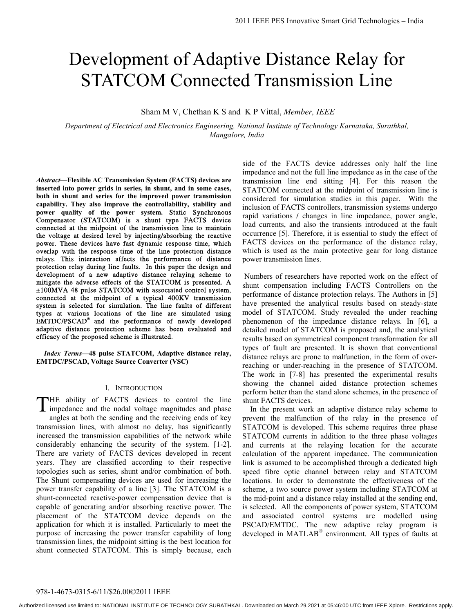# Development of Adaptive Distance Relay for STATCOM Connected Transmission Line

Sham M V, Chethan K S and K P Vittal, *Member, IEEE*

*Department of Electrical and Electronics Engineering, National Institute of Technology Karnataka, Surathkal, Mangalore, India* 

*Abstract***—Flexible AC Transmission System (FACTS) devices are inserted into power grids in series, in shunt, and in some cases, both in shunt and series for the improved power transmission capability. They also improve the controllability, stability and power quality of the power system.** Static Synchronous Compensator (STATCOM) is a shunt type FACTS device connected at the midpoint of the transmission line to maintain the voltage at desired level by injecting/absorbing the reactive power. These devices have fast dynamic response time, which overlap with the response time of the line protection distance relays. This interaction affects the performance of distance protection relay during line faults. In this paper the design and development of a new adaptive distance relaying scheme to mitigate the adverse effects of the STATCOM is presented. A ±100MVA 48 pulse STATCOM with associated control system, connected at the midpoint of a typical 400KV transmission system is selected for simulation. The line faults of different types at various locations of the line are simulated using EMTDC/PSCAD® and the performance of newly developed adaptive distance protection scheme has been evaluated and efficacy of the proposed scheme is illustrated.

*Index Terms***—48 pulse STATCOM, Adaptive distance relay, EMTDC/PSCAD, Voltage Source Converter (VSC)** 

# I. INTRODUCTION

THE ability of FACTS devices to control the line impedance and the nodal voltage magnitudes and phase impedance and the nodal voltage magnitudes and phase angles at both the sending and the receiving ends of key transmission lines, with almost no delay, has significantly increased the transmission capabilities of the network while considerably enhancing the security of the system. [1-2]. There are variety of FACTS devices developed in recent years. They are classified according to their respective topologies such as series, shunt and/or combination of both. The Shunt compensating devices are used for increasing the power transfer capability of a line [3]. The STATCOM is a shunt-connected reactive-power compensation device that is capable of generating and/or absorbing reactive power. The placement of the STATCOM device depends on the application for which it is installed. Particularly to meet the purpose of increasing the power transfer capability of long transmission lines, the midpoint sitting is the best location for shunt connected STATCOM. This is simply because, each

side of the FACTS device addresses only half the line impedance and not the full line impedance as in the case of the transmission line end sitting [4]. For this reason the STATCOM connected at the midpoint of transmission line is considered for simulation studies in this paper. With the inclusion of FACTS controllers, transmission systems undergo rapid variations / changes in line impedance, power angle, load currents, and also the transients introduced at the fault occurrence [5]. Therefore, it is essential to study the effect of FACTS devices on the performance of the distance relay, which is used as the main protective gear for long distance power transmission lines.

 Numbers of researchers have reported work on the effect of shunt compensation including FACTS Controllers on the performance of distance protection relays. The Authors in [5] have presented the analytical results based on steady-state model of STATCOM. Study revealed the under reaching phenomenon of the impedance distance relays. In [6], a detailed model of STATCOM is proposed and, the analytical results based on symmetrical component transformation for all types of fault are presented. It is shown that conventional distance relays are prone to malfunction, in the form of overreaching or under-reaching in the presence of STATCOM. The work in [7-8] has presented the experimental results showing the channel aided distance protection schemes perform better than the stand alone schemes, in the presence of shunt FACTS devices.

In the present work an adaptive distance relay scheme to prevent the malfunction of the relay in the presence of STATCOM is developed. This scheme requires three phase STATCOM currents in addition to the three phase voltages and currents at the relaying location for the accurate calculation of the apparent impedance. The communication link is assumed to be accomplished through a dedicated high speed fibre optic channel between relay and STATCOM locations. In order to demonstrate the effectiveness of the scheme, a two source power system including STATCOM at the mid-point and a distance relay installed at the sending end, is selected. All the components of power system, STATCOM and associated control systems are modelled using PSCAD/EMTDC. The new adaptive relay program is developed in MATLAB® environment. All types of faults at

#### 978-1-4673-0315-6/11/\$26.00©2011 IEEE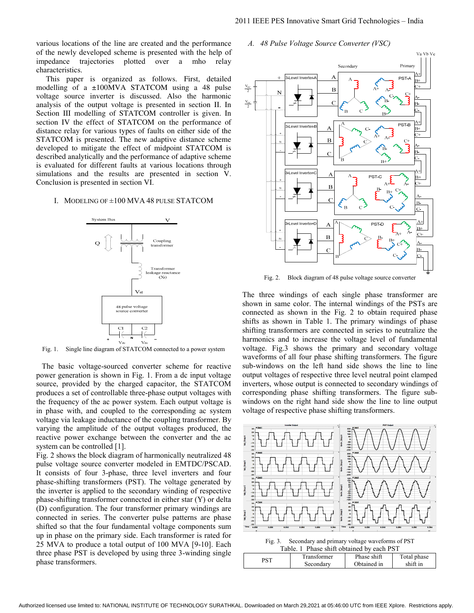various locations of the line are created and the performance of the newly developed scheme is presented with the help of impedance trajectories plotted over a mho relay characteristics.

 This paper is organized as follows. First, detailed modelling of a  $\pm 100$ MVA STATCOM using a 48 pulse voltage source inverter is discussed. Also the harmonic analysis of the output voltage is presented in section II. In Section III modelling of STATCOM controller is given. In section IV the effect of STATCOM on the performance of distance relay for various types of faults on either side of the STATCOM is presented. The new adaptive distance scheme developed to mitigate the effect of midpoint STATCOM is described analytically and the performance of adaptive scheme is evaluated for different faults at various locations through simulations and the results are presented in section V. Conclusion is presented in section VI.

# I. MODELING OF ±100 MVA 48 PULSE STATCOM



Fig. 1. Single line diagram of STATCOM connected to a power system

The basic voltage-sourced converter scheme for reactive power generation is shown in Fig. 1. From a dc input voltage source, provided by the charged capacitor, the STATCOM produces a set of controllable three-phase output voltages with the frequency of the ac power system. Each output voltage is in phase with, and coupled to the corresponding ac system voltage via leakage inductance of the coupling transformer. By varying the amplitude of the output voltages produced, the reactive power exchange between the converter and the ac system can be controlled [1].

Fig. 2 shows the block diagram of harmonically neutralized 48 pulse voltage source converter modeled in EMTDC/PSCAD. It consists of four 3-phase, three level inverters and four phase-shifting transformers (PST). The voltage generated by the inverter is applied to the secondary winding of respective phase-shifting transformer connected in either star (Y) or delta (D) configuration. The four transformer primary windings are connected in series. The converter pulse patterns are phase shifted so that the four fundamental voltage components sum up in phase on the primary side. Each transformer is rated for 25 MVA to produce a total output of 100 MVA [9-10]. Each three phase PST is developed by using three 3-winding single phase transformers.





Fig. 2. Block diagram of 48 pulse voltage source converter

The three windings of each single phase transformer are shown in same color. The internal windings of the PSTs are connected as shown in the Fig. 2 to obtain required phase shifts as shown in Table 1. The primary windings of phase shifting transformers are connected in series to neutralize the harmonics and to increase the voltage level of fundamental voltage. Fig.3 shows the primary and secondary voltage waveforms of all four phase shifting transformers. The figure sub-windows on the left hand side shows the line to line output voltages of respective three level neutral point clamped inverters, whose output is connected to secondary windings of corresponding phase shifting transformers. The figure subwindows on the right hand side show the line to line output voltage of respective phase shifting transformers.



Fig. 3. Secondary and primary voltage waveforms of PST Table. 1 Phase shift obtained by each PST

| Phase shift<br>Transformer<br>DCT |           |             |             |
|-----------------------------------|-----------|-------------|-------------|
|                                   |           |             | Total phase |
|                                   | Secondary | Obtained in | shift in    |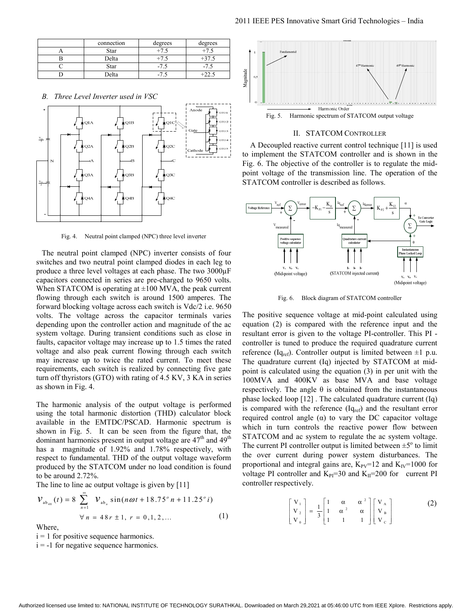| connection | degrees | degrees |
|------------|---------|---------|
| Star       |         |         |
| Delta      |         |         |
| Star       |         | ۰.      |
| Delta      |         |         |

*B. Three Level Inverter used in VSC* 



Fig. 4. Neutral point clamped (NPC) three level inverter

The neutral point clamped (NPC) inverter consists of four switches and two neutral point clamped diodes in each leg to produce a three level voltages at each phase. The two 3000µF capacitors connected in series are pre-charged to 9650 volts. When STATCOM is operating at  $\pm 100$  MVA, the peak current flowing through each switch is around 1500 amperes. The forward blocking voltage across each switch is Vdc/2 i.e. 9650 volts. The voltage across the capacitor terminals varies depending upon the controller action and magnitude of the ac system voltage. During transient conditions such as close in faults, capacitor voltage may increase up to 1.5 times the rated voltage and also peak current flowing through each switch may increase up to twice the rated current. To meet these requirements, each switch is realized by connecting five gate turn off thyristors (GTO) with rating of 4.5 KV, 3 KA in series as shown in Fig. 4.

The harmonic analysis of the output voltage is performed using the total harmonic distortion (THD) calculator block available in the EMTDC/PSCAD. Harmonic spectrum is shown in Fig. 5. It can be seen from the figure that, the dominant harmonics present in output voltage are  $47<sup>th</sup>$  and  $49<sup>th</sup>$ has a magnitude of 1.92% and 1.78% respectively, with respect to fundamental. THD of the output voltage waveform produced by the STATCOM under no load condition is found to be around 2.72%.

The line to line ac output voltage is given by [11]

$$
\mathcal{V}_{ab_{48}}(t) = 8 \sum_{n=1}^{\infty} V_{ab_n} \sin(n\omega t + 18.75^{\circ} n + 11.25^{\circ} i)
$$
  

$$
\forall n = 48r \pm 1, r = 0, 1, 2, ... \qquad (1)
$$

Where,

 $i = 1$  for positive sequence harmonics.

 $i = -1$  for negative sequence harmonics.



#### II. STATCOM CONTROLLER

A Decoupled reactive current control technique [11] is used to implement the STATCOM controller and is shown in the Fig. 6. The objective of the controller is to regulate the midpoint voltage of the transmission line. The operation of the STATCOM controller is described as follows.



Fig. 6. Block diagram of STATCOM controller

The positive sequence voltage at mid-point calculated using equation (2) is compared with the reference input and the resultant error is given to the voltage PI-controller. This PI controller is tuned to produce the required quadrature current reference (Iq<sub>ref</sub>). Controller output is limited between  $\pm 1$  p.u. The quadrature current (Iq) injected by STATCOM at midpoint is calculated using the equation (3) in per unit with the 100MVA and 400KV as base MVA and base voltage respectively. The angle  $\theta$  is obtained from the instantaneous phase locked loop [12] . The calculated quadrature current (Iq) is compared with the reference  $(Iq_{ref})$  and the resultant error required control angle (α) to vary the DC capacitor voltage which in turn controls the reactive power flow between STATCOM and ac system to regulate the ac system voltage. The current PI controller output is limited between  $\pm 5^{\circ}$  to limit the over current during power system disturbances. The proportional and integral gains are,  $K_{PV}$ =12 and  $K_{IV}$ =1000 for voltage PI controller and  $K_{PI}=30$  and  $K_{II}=200$  for current PI controller respectively.

$$
\begin{bmatrix}\nV_1 \\
V_2 \\
V_0\n\end{bmatrix} = \frac{1}{3} \begin{bmatrix}\n1 & \alpha & \alpha^2 \\
1 & \alpha^2 & \alpha \\
1 & 1 & 1\n\end{bmatrix} \begin{bmatrix}\nV_A \\
V_B \\
V_C\n\end{bmatrix}
$$
\n(2)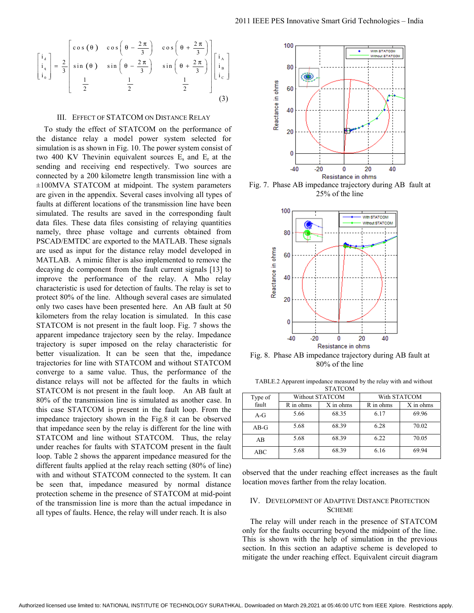$$
\begin{bmatrix} i_d \\ i_q \\ i_0 \end{bmatrix} = \frac{2}{3} \begin{bmatrix} \cos(\theta) & \cos(\theta - \frac{2\pi}{3}) & \cos(\theta + \frac{2\pi}{3}) \\ \sin(\theta) & \sin(\theta - \frac{2\pi}{3}) & \sin(\theta + \frac{2\pi}{3}) \\ \frac{1}{2} & \frac{1}{2} & \frac{1}{2} \end{bmatrix} \begin{bmatrix} i_A \\ i_B \\ i_C \end{bmatrix}
$$
(3)

#### III. EFFECT OF STATCOM ON DISTANCE RELAY

To study the effect of STATCOM on the performance of the distance relay a model power system selected for simulation is as shown in Fig. 10. The power system consist of two 400 KV Thevinin equivalent sources  $E_s$  and  $E_r$  at the sending and receiving end respectively. Two sources are connected by a 200 kilometre length transmission line with a  $\pm 100$ MVA STATCOM at midpoint. The system parameters are given in the appendix. Several cases involving all types of faults at different locations of the transmission line have been simulated. The results are saved in the corresponding fault data files. These data files consisting of relaying quantities namely, three phase voltage and currents obtained from PSCAD/EMTDC are exported to the MATLAB. These signals are used as input for the distance relay model developed in MATLAB. A mimic filter is also implemented to remove the decaying dc component from the fault current signals [13] to improve the performance of the relay. A Mho relay characteristic is used for detection of faults. The relay is set to protect 80% of the line. Although several cases are simulated only two cases have been presented here. An AB fault at 50 kilometers from the relay location is simulated. In this case STATCOM is not present in the fault loop. Fig. 7 shows the apparent impedance trajectory seen by the relay. Impedance trajectory is super imposed on the relay characteristic for better visualization. It can be seen that the, impedance trajectories for line with STATCOM and without STATCOM converge to a same value. Thus, the performance of the distance relays will not be affected for the faults in which STATCOM is not present in the fault loop. An AB fault at 80% of the transmission line is simulated as another case. In this case STATCOM is present in the fault loop. From the impedance trajectory shown in the Fig.8 it can be observed that impedance seen by the relay is different for the line with STATCOM and line without STATCOM. Thus, the relay under reaches for faults with STATCOM present in the fault loop. Table 2 shows the apparent impedance measured for the different faults applied at the relay reach setting (80% of line) with and without STATCOM connected to the system. It can be seen that, impedance measured by normal distance protection scheme in the presence of STATCOM at mid-point of the transmission line is more than the actual impedance in all types of faults. Hence, the relay will under reach. It is also



Fig. 7. Phase AB impedance trajectory during AB fault at 25% of the line



Fig. 8. Phase AB impedance trajectory during AB fault at 80% of the line

TABLE.2 Apparent impedance measured by the relay with and without **STATCOM** 

| Type of | Without STATCOM |           | With STATCOM |             |
|---------|-----------------|-----------|--------------|-------------|
| fault   | R in ohms       | X in ohms | R in ohms    | $X$ in ohms |
| $A-G$   | 5.66            | 68.35     | 6.17         | 69.96       |
| $AB-G$  | 5.68            | 68.39     | 6.28         | 70.02       |
| AB      | 5.68            | 68.39     | 6.22         | 70.05       |
| ABC     | 5.68            | 68.39     | 6.16         | 69.94       |

observed that the under reaching effect increases as the fault location moves farther from the relay location.

# IV. DEVELOPMENT OF ADAPTIVE DISTANCE PROTECTION **SCHEME**

The relay will under reach in the presence of STATCOM only for the faults occurring beyond the midpoint of the line. This is shown with the help of simulation in the previous section. In this section an adaptive scheme is developed to mitigate the under reaching effect. Equivalent circuit diagram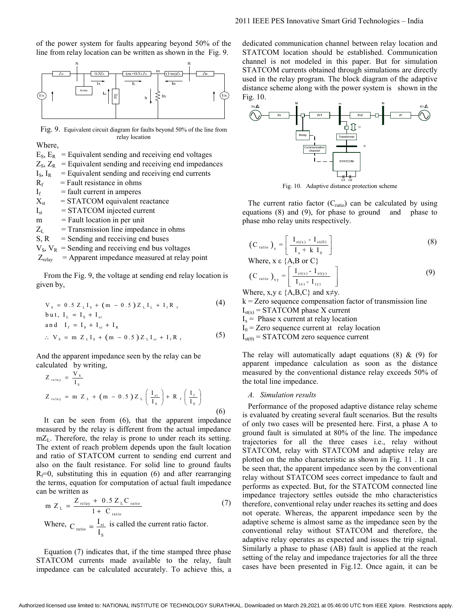of the power system for faults appearing beyond 50% of the line from relay location can be written as shown in the Fig. 9.



Fig. 9. Equivalent circuit diagram for faults beyond 50% of the line from relay location

Where,

 $E<sub>S</sub>$ ,  $E<sub>R</sub>$  = Equivalent sending and receiving end voltages  $Z_{\rm S}$ ,  $Z_{\rm R}$  = Equivalent sending and receiving end impedances  $I_{\rm S}$ ,  $I_{\rm R}$  = Equivalent sending and receiving end currents  $R_f$  = Fault resistance in ohms  $I_f$  = fault current in amperes  $X_{st}$  = STATCOM equivalent reactance  $I_{st}$  = STATCOM injected current  $m =$ Fault location in per unit  $Z_L$  = Transmission line impedance in ohms  $S, R =$  Sending and receiving end buses  $V_S$ ,  $V_R$  = Sending and receiving end bus voltages  $Z_{\text{relav}}$  = Apparent impedance measured at relay point

From the Fig. 9, the voltage at sending end relay location is given by,

$$
V_s = 0.5 Z_L I_s + (m - 0.5) Z_L I_L + I_r R_f
$$
\n(4)  
\nbut, I<sub>L</sub> = I<sub>s</sub> + I<sub>st</sub>  
\nand I<sub>f</sub> = I<sub>s</sub> + I<sub>st</sub> + I<sub>R</sub>  
\n
$$
\therefore V_s = m Z_L I_s + (m - 0.5) Z_L I_{st} + I_f R_f
$$
\n(5)

And the apparent impedance seen by the relay can be calculated by writing,

$$
Z_{\text{relay}} = \frac{V_s}{I_s}
$$
  
\n
$$
Z_{\text{relay}} = m Z_{\text{L}} + (m - 0.5) Z_{\text{L}} \left( \frac{I_{\text{st}}}{I_s} \right) + R_{\text{f}} \left( \frac{I_f}{I_s} \right)
$$
  
\n(6)

It can be seen from (6), that the apparent impedance measured by the relay is different from the actual impedance mZL. Therefore, the relay is prone to under reach its setting. The extent of reach problem depends upon the fault location and ratio of STATCOM current to sending end current and also on the fault resistance. For solid line to ground faults  $R_f=0$ , substituting this in equation (6) and after rearranging the terms, equation for computation of actual fault impedance can be written as

m Z<sub>L</sub> = 
$$
\frac{Z_{\text{relay}} + 0.5 Z_{\text{L}} C_{\text{ratio}}}{1 + C_{\text{ratio}}}
$$
 (7)  
Where, C<sub>ratio</sub> =  $\frac{I_{\text{st}}}{I_{\text{S}}}$  is called the current ratio factor.

Equation (7) indicates that, if the time stamped three phase STATCOM currents made available to the relay, fault impedance can be calculated accurately. To achieve this, a dedicated communication channel between relay location and STATCOM location should be established. Communication channel is not modeled in this paper. But for simulation STATCOM currents obtained through simulations are directly used in the relay program. The block diagram of the adaptive distance scheme along with the power system is shown in the Fig. 10.



Fig. 10. Adaptive distance protection scheme

The current ratio factor  $(C_{ratio})$  can be calculated by using equations (8) and (9), for phase to ground and phase to phase mho relay units respectively.

$$
\left(C_{\text{ratio}}\right)_x = \left[\frac{I_{\text{st}(x)} - I_{\text{st}(0)}}{I_x + k I_0}\right] \tag{8}
$$

Where,  $x \in \{A, B \text{ or } C\}$ 

$$
(C_{\text{ratio}})_{xy} = \left[ \frac{I_{st(x)} - I_{st(y)}}{I_{(x)} - I_{(y)}} \right]
$$
 (9)

Where,  $x, y \in \{A, B, C\}$  and  $x \neq y$ .

 $k =$  Zero sequence compensation factor of transmission line  $I_{\text{st}(x)}$  = STATCOM phase X current

 $I_x$  = Phase x current at relay location

 $I_0$  = Zero sequence current at relay location

 $I_{\text{st}(0)}$  = STATCOM zero sequence current

The relay will automatically adapt equations  $(8)$  &  $(9)$  for apparent impedance calculation as soon as the distance measured by the conventional distance relay exceeds 50% of the total line impedance.

### *A. Simulation results*

Performance of the proposed adaptive distance relay scheme is evaluated by creating several fault scenarios. But the results of only two cases will be presented here. First, a phase A to ground fault is simulated at 80% of the line. The impedance trajectories for all the three cases i.e., relay without STATCOM, relay with STATCOM and adaptive relay are plotted on the mho characteristic as shown in Fig. 11 . It can be seen that, the apparent impedance seen by the conventional relay without STATCOM sees correct impedance to fault and performs as expected. But, for the STATCOM connected line impedance trajectory settles outside the mho characteristics therefore, conventional relay under reaches its setting and does not operate. Whereas, the apparent impedance seen by the adaptive scheme is almost same as the impedance seen by the conventional relay without STATCOM and therefore, the adaptive relay operates as expected and issues the trip signal. Similarly a phase to phase (AB) fault is applied at the reach setting of the relay and impedance trajectories for all the three cases have been presented in Fig.12. Once again, it can be